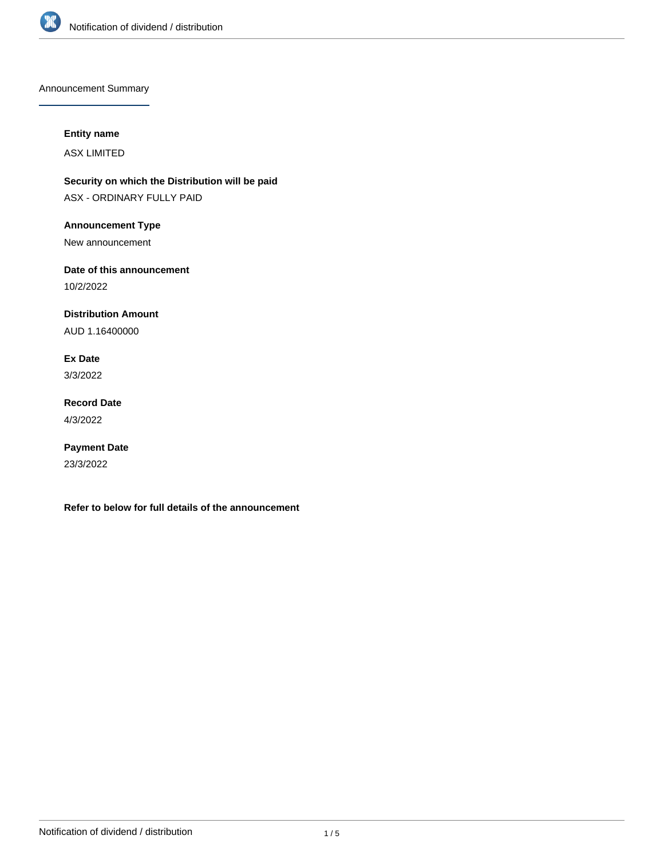

Announcement Summary

# **Entity name**

ASX LIMITED

**Security on which the Distribution will be paid** ASX - ORDINARY FULLY PAID

**Announcement Type**

New announcement

**Date of this announcement**

10/2/2022

**Distribution Amount**

AUD 1.16400000

**Ex Date**

3/3/2022

**Record Date** 4/3/2022

**Payment Date** 23/3/2022

**Refer to below for full details of the announcement**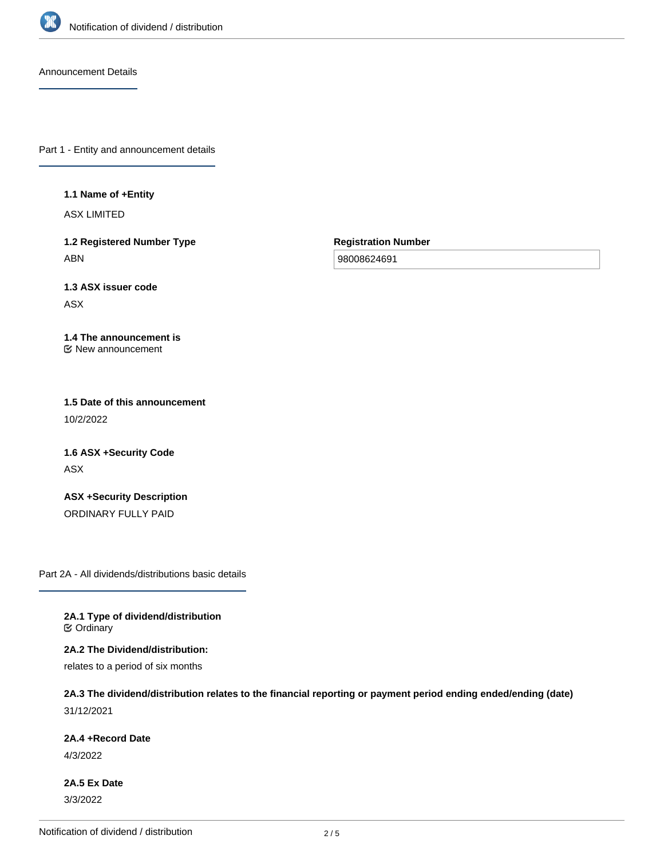

Announcement Details

Part 1 - Entity and announcement details

**1.1 Name of +Entity**

ASX LIMITED

**1.2 Registered Number Type** ABN

**Registration Number**

98008624691

**1.3 ASX issuer code** ASX

**1.4 The announcement is** New announcement

**1.5 Date of this announcement** 10/2/2022

**1.6 ASX +Security Code** ASX

**ASX +Security Description** ORDINARY FULLY PAID

Part 2A - All dividends/distributions basic details

**2A.1 Type of dividend/distribution C** Ordinary

**2A.2 The Dividend/distribution:**

relates to a period of six months

**2A.3 The dividend/distribution relates to the financial reporting or payment period ending ended/ending (date)** 31/12/2021

**2A.4 +Record Date**

4/3/2022

**2A.5 Ex Date** 3/3/2022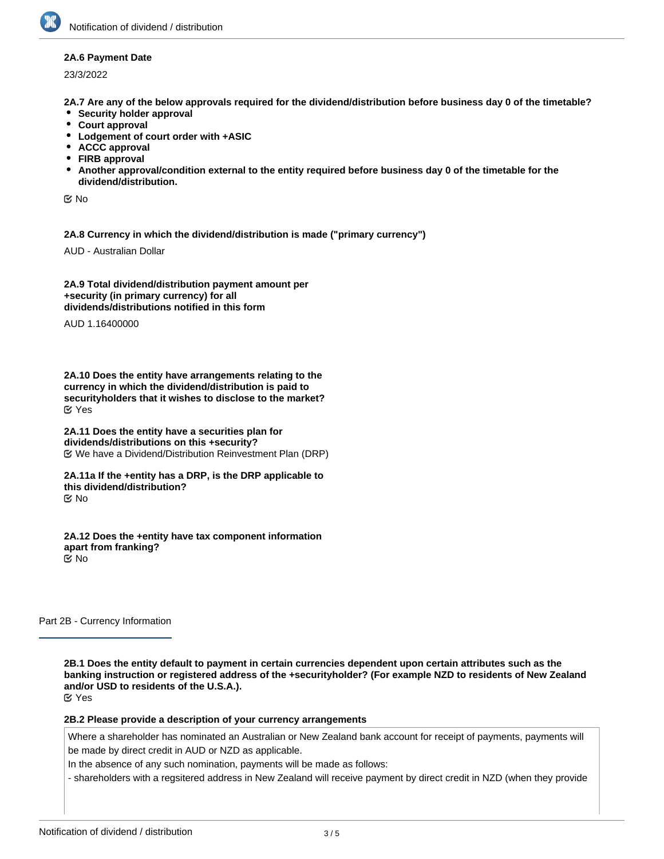### **2A.6 Payment Date**

23/3/2022

**2A.7 Are any of the below approvals required for the dividend/distribution before business day 0 of the timetable?**

- **•** Security holder approval
- **Court approval**
- **Lodgement of court order with +ASIC**
- **ACCC approval**
- **FIRB approval**
- **Another approval/condition external to the entity required before business day 0 of the timetable for the dividend/distribution.**

No

**2A.8 Currency in which the dividend/distribution is made ("primary currency")**

AUD - Australian Dollar

**2A.9 Total dividend/distribution payment amount per +security (in primary currency) for all dividends/distributions notified in this form**

AUD 1.16400000

**2A.10 Does the entity have arrangements relating to the currency in which the dividend/distribution is paid to securityholders that it wishes to disclose to the market?** Yes

**2A.11 Does the entity have a securities plan for dividends/distributions on this +security?** We have a Dividend/Distribution Reinvestment Plan (DRP)

**2A.11a If the +entity has a DRP, is the DRP applicable to this dividend/distribution?** No

**2A.12 Does the +entity have tax component information apart from franking?** No

Part 2B - Currency Information

**2B.1 Does the entity default to payment in certain currencies dependent upon certain attributes such as the banking instruction or registered address of the +securityholder? (For example NZD to residents of New Zealand and/or USD to residents of the U.S.A.).** Yes

**2B.2 Please provide a description of your currency arrangements**

Where a shareholder has nominated an Australian or New Zealand bank account for receipt of payments, payments will be made by direct credit in AUD or NZD as applicable.

In the absence of any such nomination, payments will be made as follows:

- shareholders with a regsitered address in New Zealand will receive payment by direct credit in NZD (when they provide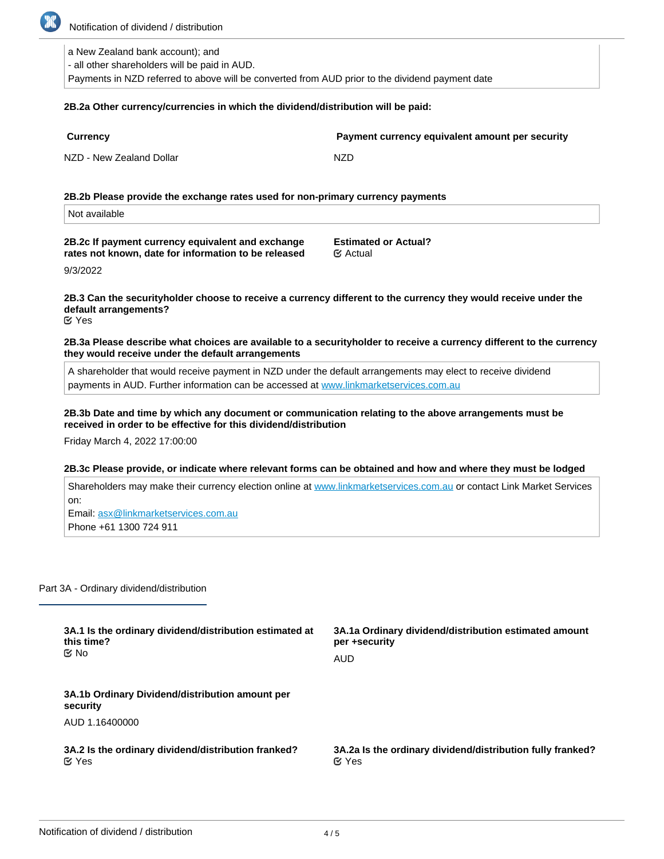

Notification of dividend / distribution

a New Zealand bank account); and

- all other shareholders will be paid in AUD.

Payments in NZD referred to above will be converted from AUD prior to the dividend payment date

#### **2B.2a Other currency/currencies in which the dividend/distribution will be paid:**

| <b>Currency</b>          | Payment currency equivalent amount |
|--------------------------|------------------------------------|
| NZD - New Zealand Dollar | NZD.                               |

**2B.2b Please provide the exchange rates used for non-primary currency payments**

Not available

**2B.2c If payment currency equivalent and exchange rates not known, date for information to be released**

**Estimated or Actual?** Actual

**per security** 

9/3/2022

# **2B.3 Can the securityholder choose to receive a currency different to the currency they would receive under the default arrangements?**

Yes

**2B.3a Please describe what choices are available to a securityholder to receive a currency different to the currency they would receive under the default arrangements**

A shareholder that would receive payment in NZD under the default arrangements may elect to receive dividend payments in AUD. Further information can be accessed at [www.linkmarketservices.com.au](http://www.linkmarketservices.com.au)

# **2B.3b Date and time by which any document or communication relating to the above arrangements must be received in order to be effective for this dividend/distribution**

Friday March 4, 2022 17:00:00

### **2B.3c Please provide, or indicate where relevant forms can be obtained and how and where they must be lodged**

Shareholders may make their currency election online at [www.linkmarketservices.com.au](http://www.linkmarketservices.com.au) or contact Link Market Services on:

Email: asx@linkmarketservices.com.au Phone +61 1300 724 911

Part 3A - Ordinary dividend/distribution

| 3A.1 Is the ordinary dividend/distribution estimated at     | 3A.1a Ordinary dividend/distribution estimated amount      |
|-------------------------------------------------------------|------------------------------------------------------------|
| this time?                                                  | per +security                                              |
| tiX No                                                      | AUD                                                        |
| 3A.1b Ordinary Dividend/distribution amount per<br>security |                                                            |
| AUD 1.16400000                                              |                                                            |
| 3A.2 Is the ordinary dividend/distribution franked?         | 3A.2a Is the ordinary dividend/distribution fully franked? |
| $\alpha$ Yes                                                | $\alpha$ Yes                                               |